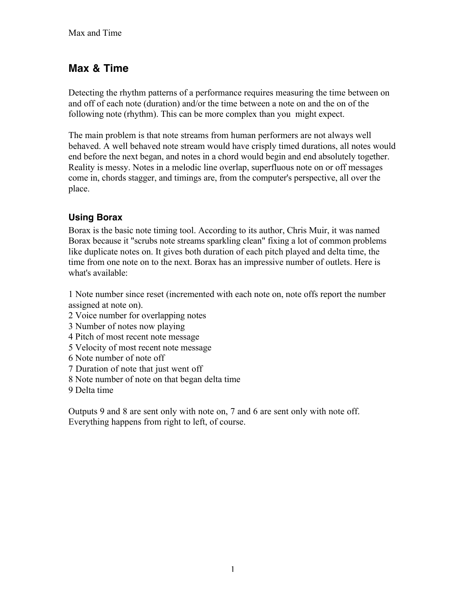# **Max & Time**

Detecting the rhythm patterns of a performance requires measuring the time between on and off of each note (duration) and/or the time between a note on and the on of the following note (rhythm). This can be more complex than you might expect.

The main problem is that note streams from human performers are not always well behaved. A well behaved note stream would have crisply timed durations, all notes would end before the next began, and notes in a chord would begin and end absolutely together. Reality is messy. Notes in a melodic line overlap, superfluous note on or off messages come in, chords stagger, and timings are, from the computer's perspective, all over the place.

## **Using Borax**

Borax is the basic note timing tool. According to its author, Chris Muir, it was named Borax because it "scrubs note streams sparkling clean" fixing a lot of common problems like duplicate notes on. It gives both duration of each pitch played and delta time, the time from one note on to the next. Borax has an impressive number of outlets. Here is what's available:

1 Note number since reset (incremented with each note on, note offs report the number assigned at note on).

- 2 Voice number for overlapping notes
- 3 Number of notes now playing
- 4 Pitch of most recent note message
- 5 Velocity of most recent note message
- 6 Note number of note off
- 7 Duration of note that just went off
- 8 Note number of note on that began delta time
- 9 Delta time

Outputs 9 and 8 are sent only with note on, 7 and 6 are sent only with note off. Everything happens from right to left, of course.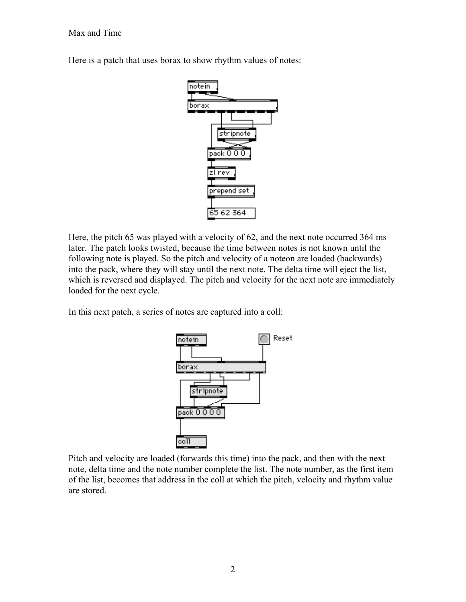#### Max and Time

Here is a patch that uses borax to show rhythm values of notes:



Here, the pitch 65 was played with a velocity of 62, and the next note occurred 364 ms later. The patch looks twisted, because the time between notes is not known until the following note is played. So the pitch and velocity of a noteon are loaded (backwards) into the pack, where they will stay until the next note. The delta time will eject the list, which is reversed and displayed. The pitch and velocity for the next note are immediately loaded for the next cycle.

In this next patch, a series of notes are captured into a coll:



Pitch and velocity are loaded (forwards this time) into the pack, and then with the next note, delta time and the note number complete the list. The note number, as the first item of the list, becomes that address in the coll at which the pitch, velocity and rhythm value are stored.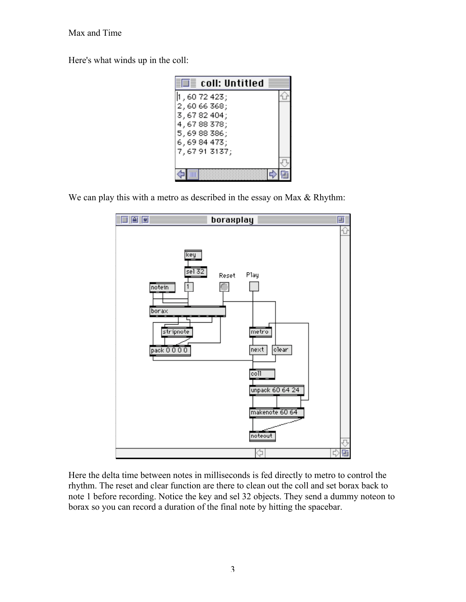#### Max and Time

Here's what winds up in the coll:

| $\overline{\mathbb{H}}$ coll: Untitled |  |
|----------------------------------------|--|
| , 60 72 423;                           |  |
| 2,6066368;<br>3,6782404;               |  |
| 4,6788378;                             |  |
| 5,6988386;<br>6,6984473;               |  |
| 7,67913137;                            |  |
|                                        |  |
|                                        |  |

We can play this with a metro as described in the essay on Max & Rhythm:



Here the delta time between notes in milliseconds is fed directly to metro to control the rhythm. The reset and clear function are there to clean out the coll and set borax back to note 1 before recording. Notice the key and sel 32 objects. They send a dummy noteon to borax so you can record a duration of the final note by hitting the spacebar.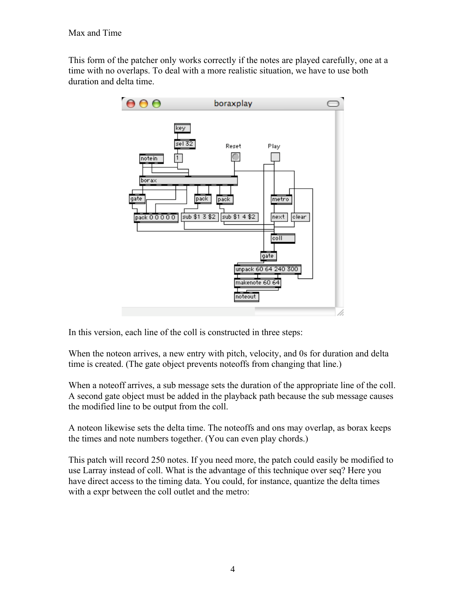This form of the patcher only works correctly if the notes are played carefully, one at a time with no overlaps. To deal with a more realistic situation, we have to use both duration and delta time.



In this version, each line of the coll is constructed in three steps:

When the noteon arrives, a new entry with pitch, velocity, and 0s for duration and delta time is created. (The gate object prevents noteoffs from changing that line.)

When a noteoff arrives, a sub message sets the duration of the appropriate line of the coll. A second gate object must be added in the playback path because the sub message causes the modified line to be output from the coll.

A noteon likewise sets the delta time. The noteoffs and ons may overlap, as borax keeps the times and note numbers together. (You can even play chords.)

This patch will record 250 notes. If you need more, the patch could easily be modified to use Larray instead of coll. What is the advantage of this technique over seq? Here you have direct access to the timing data. You could, for instance, quantize the delta times with a expr between the coll outlet and the metro: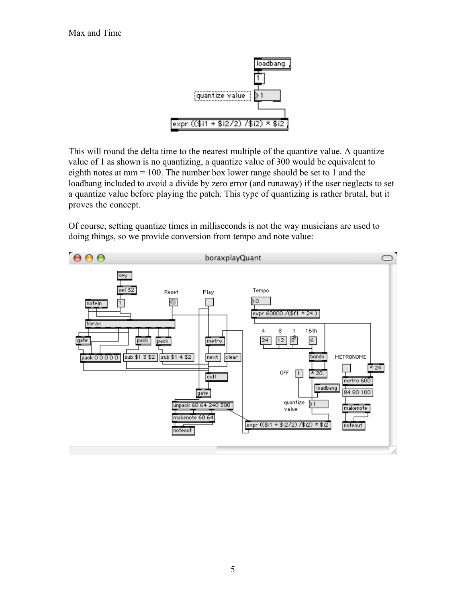

This will round the delta time to the nearest multiple of the quantize value. A quantize value of 1 as shown is no quantizing, a quantize value of 300 would be equivalent to eighth notes at mm = 100. The number box lower range should be set to 1 and the loadbang included to avoid a divide by zero error (and runaway) if the user neglects to set a quantize value before playing the patch. This type of quantizing is rather brutal, but it proves the concept.

Of course, setting quantize times in milliseconds is not the way musicians are used to doing things, so we provide conversion from tempo and note value:

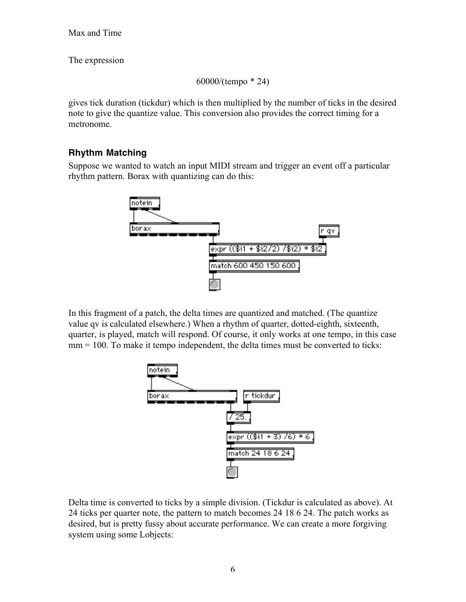The expression

```
60000/(tempo * 24)
```
gives tick duration (tickdur) which is then multiplied by the number of ticks in the desired note to give the quantize value. This conversion also provides the correct timing for a metronome.

## **Rhythm Matching**

Suppose we wanted to watch an input MIDI stream and trigger an event off a particular rhythm pattern. Borax with quantizing can do this:



In this fragment of a patch, the delta times are quantized and matched. (The quantize value qv is calculated elsewhere.) When a rhythm of quarter, dotted-eighth, sixteenth, quarter, is played, match will respond. Of course, it only works at one tempo, in this case mm = 100. To make it tempo independent, the delta times must be converted to ticks:



Delta time is converted to ticks by a simple division. (Tickdur is calculated as above). At 24 ticks per quarter note, the pattern to match becomes 24 18 6 24. The patch works as desired, but is pretty fussy about accurate performance. We can create a more forgiving system using some Lobjects: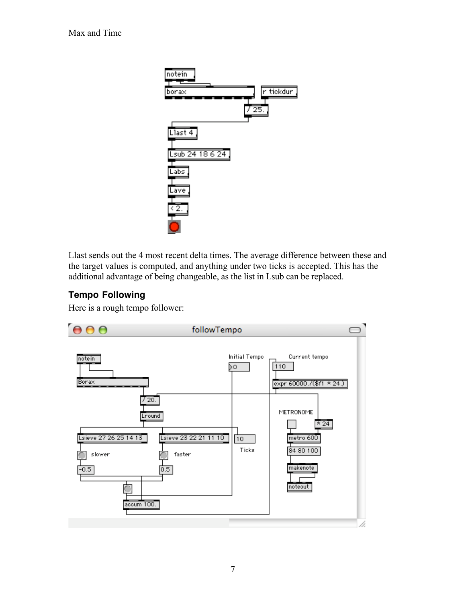

Llast sends out the 4 most recent delta times. The average difference between these and the target values is computed, and anything under two ticks is accepted. This has the additional advantage of being changeable, as the list in Lsub can be replaced.

### **Tempo Following**

Here is a rough tempo follower:

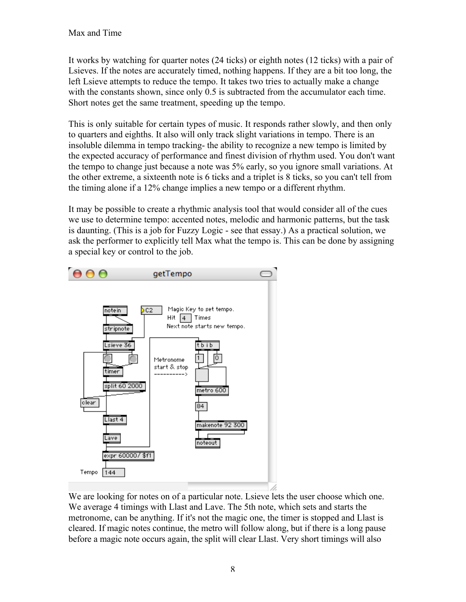It works by watching for quarter notes (24 ticks) or eighth notes (12 ticks) with a pair of Lsieves. If the notes are accurately timed, nothing happens. If they are a bit too long, the left Lsieve attempts to reduce the tempo. It takes two tries to actually make a change with the constants shown, since only  $0.5$  is subtracted from the accumulator each time. Short notes get the same treatment, speeding up the tempo.

This is only suitable for certain types of music. It responds rather slowly, and then only to quarters and eighths. It also will only track slight variations in tempo. There is an insoluble dilemma in tempo tracking- the ability to recognize a new tempo is limited by the expected accuracy of performance and finest division of rhythm used. You don't want the tempo to change just because a note was 5% early, so you ignore small variations. At the other extreme, a sixteenth note is 6 ticks and a triplet is 8 ticks, so you can't tell from the timing alone if a 12% change implies a new tempo or a different rhythm.

It may be possible to create a rhythmic analysis tool that would consider all of the cues we use to determine tempo: accented notes, melodic and harmonic patterns, but the task is daunting. (This is a job for Fuzzy Logic - see that essay.) As a practical solution, we ask the performer to explicitly tell Max what the tempo is. This can be done by assigning a special key or control to the job.



We are looking for notes on of a particular note. List the user choose which one. We average 4 timings with Llast and Lave. The 5th note, which sets and starts the metronome, can be anything. If it's not the magic one, the timer is stopped and Llast is cleared. If magic notes continue, the metro will follow along, but if there is a long pause before a magic note occurs again, the split will clear Llast. Very short timings will also